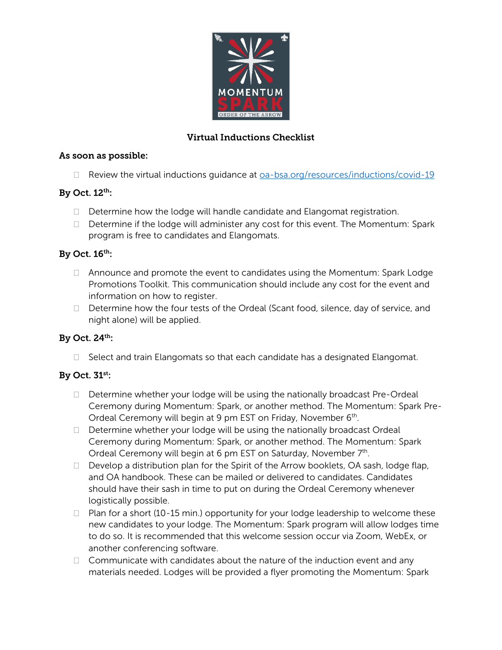

## Virtual Inductions Checklist

#### As soon as possible:

 $\Box$  Review the virtual inductions quidance at  $\overline{a}$ -bsa.org/resources/inductions/covid-19

### By Oct. 12th:

- $\Box$  Determine how the lodge will handle candidate and Elangomat registration.
- D Determine if the lodge will administer any cost for this event. The Momentum: Spark program is free to candidates and Elangomats.

### By Oct. 16th:

- $\Box$  Announce and promote the event to candidates using the Momentum: Spark Lodge Promotions Toolkit. This communication should include any cost for the event and information on how to register.
- $\Box$  Determine how the four tests of the Ordeal (Scant food, silence, day of service, and night alone) will be applied.

### By Oct. 24th:

 $\Box$  Select and train Elangomats so that each candidate has a designated Elangomat.

# By Oct. 31st:

- $\Box$  Determine whether your lodge will be using the nationally broadcast Pre-Ordeal Ceremony during Momentum: Spark, or another method. The Momentum: Spark Pre-Ordeal Ceremony will begin at 9 pm EST on Friday, November 6th.
- $\Box$  Determine whether your lodge will be using the nationally broadcast Ordeal Ceremony during Momentum: Spark, or another method. The Momentum: Spark Ordeal Ceremony will begin at 6 pm EST on Saturday, November 7<sup>th</sup>.
- $\Box$  Develop a distribution plan for the Spirit of the Arrow booklets, OA sash, lodge flap, and OA handbook. These can be mailed or delivered to candidates. Candidates should have their sash in time to put on during the Ordeal Ceremony whenever logistically possible.
- $\Box$  Plan for a short (10-15 min.) opportunity for your lodge leadership to welcome these new candidates to your lodge. The Momentum: Spark program will allow lodges time to do so. It is recommended that this welcome session occur via Zoom, WebEx, or another conferencing software.
- $\Box$  Communicate with candidates about the nature of the induction event and any materials needed. Lodges will be provided a flyer promoting the Momentum: Spark